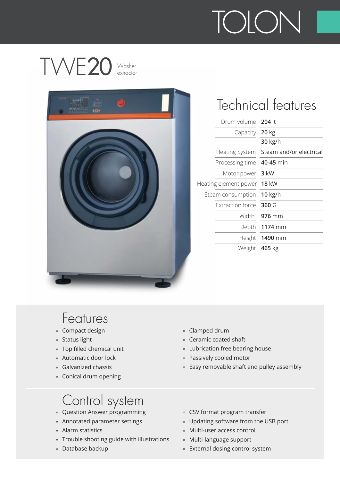

extractor



### Technical features

| Drum volume 204 lt        |                                        |
|---------------------------|----------------------------------------|
| Capacity 20 kg            |                                        |
|                           | 30 kg/h                                |
|                           | Heating System Steam and/or electrical |
| Processing time 40-45 min |                                        |
| Motor power 3 kW          |                                        |
| ating element power 18 kW |                                        |
| Steam consumption 10 kg/h |                                        |
| Extraction force 360 G    |                                        |
|                           | Width 976 mm                           |
|                           | Depth 1174 mm                          |
|                           | Height 1490 mm                         |
|                           | Weight 465 kg                          |

#### Features

- » Compact design
- » Status light
- » Top filled chemical unit
- » Automatic door lock
- » Galvanized chassis
- » Conical drum opening

- » Question Answer programming
- » Annotated parameter settings
- » Alarm statistics
- » Trouble shooting guide with illustrations
- » Database backup
- » Clamped drum
- » Ceramic coated shaft
- » Lubrication free bearing house
- » Passively cooled motor
- » Easy removable shaft and pulley assembly
- » CSV format program transfer
- » Updating software from the USB port
- » Multi-user access control
- » Multi-language support
- » External dosing control system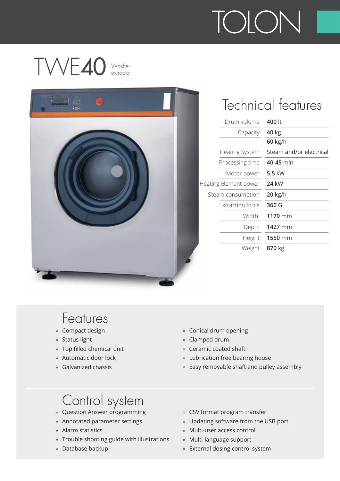



### Technical features

| Drum volume             | 400 lt                  |
|-------------------------|-------------------------|
| Capacity                | 40 kg                   |
|                         | 60 kg/h                 |
| <b>Heating System</b>   | Steam and/or electrical |
| Processing time         | 40-45 min               |
| Motor power             | 5.5 kW                  |
| ating element power     | <b>24 kW</b>            |
| Steam consumption       | 20 kg/h                 |
| <b>Extraction force</b> | 360 G                   |
| Width                   | 1179 mm                 |
| Depth                   | 1427 mm                 |
| Height                  | 1550 mm                 |
| Weight                  | 870 kg                  |
|                         |                         |

#### Features

- » Compact design
- » Status light
- » Top filled chemical unit
- » Automatic door lock
- » Galvanized chassis
- » Conical drum opening
- » Clamped drum
- » Ceramic coated shaft
- » Lubrication free bearing house
- » Easy removable shaft and pulley assembly

- » Question Answer programming
- » Annotated parameter settings
- » Alarm statistics
- » Trouble shooting guide with illustrations
- » Database backup
- » CSV format program transfer
- » Updating software from the USB port
- » Multi-user access control
- » Multi-language support
- » External dosing control system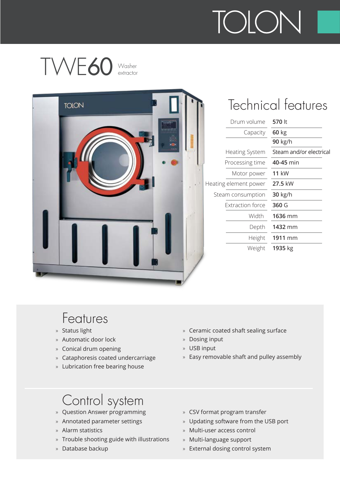## TWE60 Washer

|  |  | Drum volume             | 570 lt                  |
|--|--|-------------------------|-------------------------|
|  |  | Capacity                | $60$ kg                 |
|  |  |                         | 90 kg/h                 |
|  |  | Heating System          | Steam and/or electrical |
|  |  | Processing time         | 40-45 min               |
|  |  | Motor power             | <b>11 kW</b>            |
|  |  | Heating element power   | 27.5 kW                 |
|  |  | Steam consumption       | 30 kg/h                 |
|  |  | <b>Extraction force</b> | 360 G                   |
|  |  | Width                   | 1636 mm                 |
|  |  | Depth                   | 1432 mm                 |
|  |  | Height                  | 1911 mm                 |
|  |  | Weight                  | 1935 kg                 |

#### Features

- » Status light
- » Automatic door lock
- » Conical drum opening
- » Cataphoresis coated undercarriage
- » Lubrication free bearing house
- » Ceramic coated shaft sealing surface
- » Dosing input
- » USB input
- » Easy removable shaft and pulley assembly

- » Question Answer programming
- » Annotated parameter settings
- » Alarm statistics
- » Trouble shooting guide with illustrations
- » Database backup
- » CSV format program transfer
- » Updating software from the USB port
- » Multi-user access control
- » Multi-language support
- » External dosing control system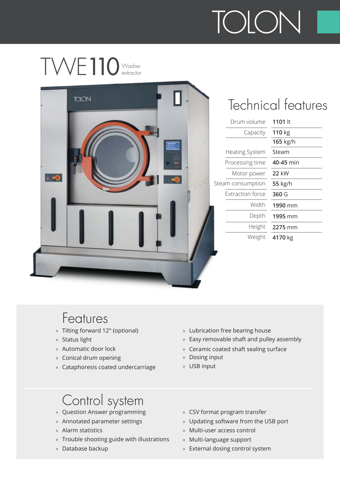



### Technical features

| Drum volume -         | 1101 lt   |
|-----------------------|-----------|
| Capacity              | 110 kg    |
|                       | 165 kg/h  |
| <b>Heating System</b> | Steam     |
| Processing time       | 40-45 min |
| Motor power           | 22 kW     |
| am consumption        | 55 kg/h   |
| Extraction force      | 360 G     |
| Width                 | 1990 mm   |
| Depth                 | 1995 mm   |
| Height                | 2275 mm   |
| Weight                | 4170 kg   |
|                       |           |

#### Features

- » Tilting forward 12° (optional)
- » Status light
- » Automatic door lock
- » Conical drum opening
- » Cataphoresis coated undercarriage
- » Lubrication free bearing house
- » Easy removable shaft and pulley assembly
- » Ceramic coated shaft sealing surface
- » Dosing input
- » USB input

- » Question Answer programming
- » Annotated parameter settings
- » Alarm statistics
- » Trouble shooting guide with illustrations
- » Database backup
- » CSV format program transfer
- » Updating software from the USB port
- » Multi-user access control
- » Multi-language support
- » External dosing control system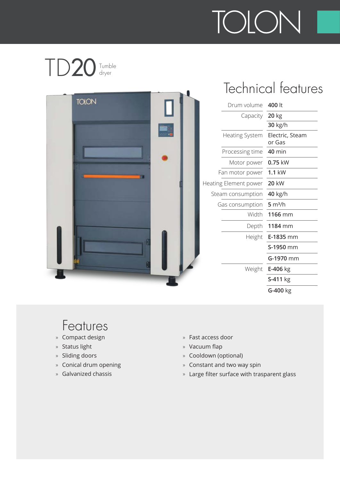#### TD<sub>20</sub> Tumble<br>dryer



### Technical features

| Drum volume 400 lt    |                           |
|-----------------------|---------------------------|
| Capacity 20 kg        |                           |
|                       | 30 kg/h                   |
| <b>Heating System</b> | Electric, Steam<br>or Gas |
| Processing time       | $40$ min                  |
| Motor power           | 0.75 kW                   |
| Fan motor power       | $1.1$ kW                  |
| ating Element power   | <b>20 kW</b>              |
| Steam consumption     | 40 kg/h                   |
| Gas consumption       | 5 m <sup>3</sup> /h       |
| Width                 | 1166 mm                   |
|                       | Depth 1184 mm             |
|                       | Height <b>E-1835</b> mm   |
|                       | S-1950 mm                 |
|                       | G-1970 mm                 |
|                       | Weight E-406 kg           |
|                       | S-411 kg                  |
|                       | G-400 kg                  |
|                       |                           |

- » Compact design
- » Status light
- » Sliding doors
- » Conical drum opening
- » Galvanized chassis
- » Fast access door
- » Vacuum flap
- » Cooldown (optional)
- » Constant and two way spin
- » Large filter surface with trasparent glass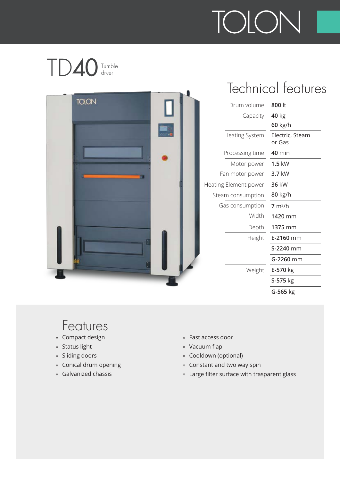#### TD40 Tumble dryer



### Technical features

| Drum volume         | 800 lt                    |
|---------------------|---------------------------|
| Capacity            | 40 kg                     |
|                     | 60 kg/h                   |
| Heating System      | Electric, Steam<br>or Gas |
| Processing time     | $40$ min                  |
| Motor power         | $1.5$ kW                  |
| Fan motor power     | 3.7 kW                    |
| ating Element power | 36 kW                     |
| Steam consumption   | 80 kg/h                   |
| Gas consumption     | 7 m <sup>3</sup> /h       |
| Width               | 1420 mm                   |
| Depth               | 1375 mm                   |
| Height              | E-2160 mm                 |
|                     | S-2240 mm                 |
|                     | G-2260 mm                 |
| Weight              | E-570 kg                  |
|                     | S-575 kg                  |
|                     | G-565 kg                  |
|                     |                           |

- » Compact design
- » Status light
- » Sliding doors
- » Conical drum opening
- » Galvanized chassis
- » Fast access door
- » Vacuum flap
- » Cooldown (optional)
- » Constant and two way spin
- » Large filter surface with trasparent glass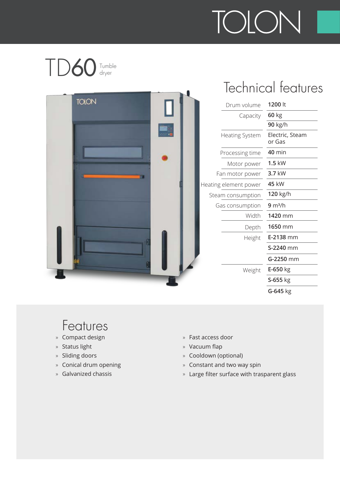#### TD6  $\bigcirc$  Tumble



## Technical features

| Drum volume           | 1200 lt                   |
|-----------------------|---------------------------|
| Capacity              | 60 kg                     |
|                       | 90 kg/h                   |
| <b>Heating System</b> | Electric, Steam<br>or Gas |
| Processing time       | $40$ min                  |
| Motor power           | $1.5$ kW                  |
| Fan motor power       | $3.7$ kW                  |
| ating element power   | 45 kW                     |
| Steam consumption     | 120 kg/h                  |
| Gas consumption       | 9 m <sup>3</sup> /h       |
| Width                 | 1420 mm                   |
| Depth                 | 1650 mm                   |
| Height                | <b>E-2138</b> mm          |
|                       | S-2240 mm                 |
|                       | G-2250 mm                 |
| Weight                | $E-650$ kg                |
|                       | S-655 kg                  |
|                       | G-645 kg                  |
|                       |                           |

- » Compact design
- » Status light
- » Sliding doors
- » Conical drum opening
- » Galvanized chassis
- » Fast access door
- » Vacuum flap
- » Cooldown (optional)
- » Constant and two way spin
- » Large filter surface with trasparent glass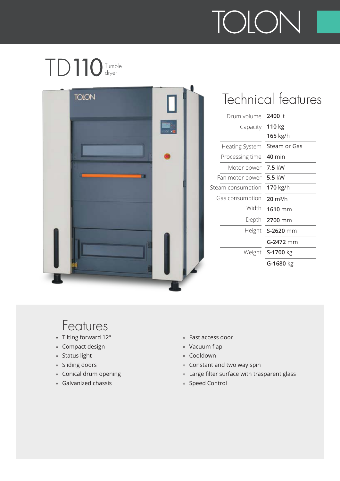#### TD110Tumble dryer



### Technical features

| Drum volume           | 2400 lt            |
|-----------------------|--------------------|
| Capacity              | 110 kg             |
|                       | 165 kg/h           |
| <b>Heating System</b> | Steam or Gas       |
| Processing time       | <b>40 min</b>      |
| Motor power           | 7.5 kW             |
| Fan motor power       | 5.5 kW             |
| eam consumption       | 170 kg/h           |
| Gas consumption       | $20 \text{ m}^3/h$ |
| Width                 | 1610 mm            |
| Depth                 | 2700 mm            |
| Height                | S-2620 mm          |
|                       | <b>G-2472</b> mm   |
|                       | Weight S-1700 kg   |
|                       | G-1680 kg          |

- » Tilting forward 12°
- » Compact design
- » Status light
- » Sliding doors
- » Conical drum opening
- » Galvanized chassis
- » Fast access door
- » Vacuum flap
- » Cooldown
- » Constant and two way spin
- Large filter surface with trasparent glass »
- » Speed Control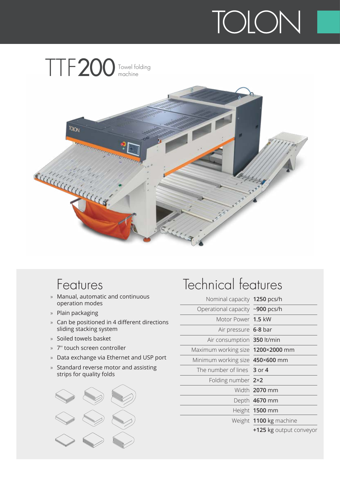

#### Features

- » Manual, automatic and continuous operation modes
- » Plain packaging
- » Can be positioned in 4 different directions sliding stacking system
- » Soiled towels basket
- » 7'' touch screen controller
- » Data exchange via Ethernet and USP port
- » Standard reverse motor and assisting strips for quality folds



| Nominal capacity 1250 pcs/h       |                         |
|-----------------------------------|-------------------------|
| Operational capacity ~900 pcs/h   |                         |
| Motor Power 1.5 kW                |                         |
| Air pressure 6-8 bar              |                         |
| Air consumption 350 lt/min        |                         |
| Maximum working size 1200×2000 mm |                         |
| Minimum working size 450×600 mm   |                         |
| The number of lines 3 or 4        |                         |
| Folding number 2×2                |                         |
|                                   | Width 2070 mm           |
|                                   | Depth 4670 mm           |
|                                   | Height 1500 mm          |
|                                   | Weight 1100 kg machine  |
|                                   | +125 kg output conveyor |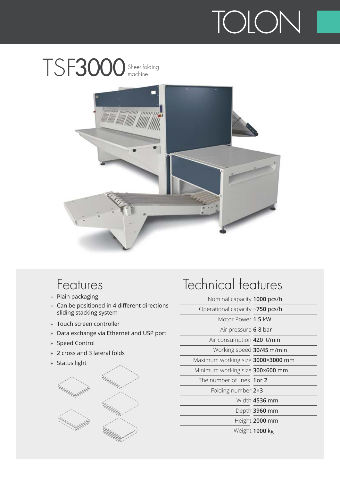



#### Features

- » Plain packaging
- » Can be positioned in 4 different directions sliding stacking system
- » Touch screen controller
- » Data exchange via Ethernet and USP port
- » Speed Control
- » 2 cross and 3 lateral folds
- » Status light



#### Technical features

**1000** pcs/h Nominal capacity

| Operational capacity ~750 pcs/h   |                |
|-----------------------------------|----------------|
| Motor Power 1.5 kW                |                |
| Air pressure 6-8 bar              |                |
| Air consumption 420 lt/min        |                |
| Working speed 30/45 m/min         |                |
| Maximum working size 3000×3000 mm |                |
| Minimum working size 300×600 mm   |                |
| The number of lines 1or 2         |                |
| Folding number 2×3                |                |
|                                   | Width 4536 mm  |
|                                   | Depth 3960 mm  |
|                                   | Height 2000 mm |
|                                   | Weight 1900 kg |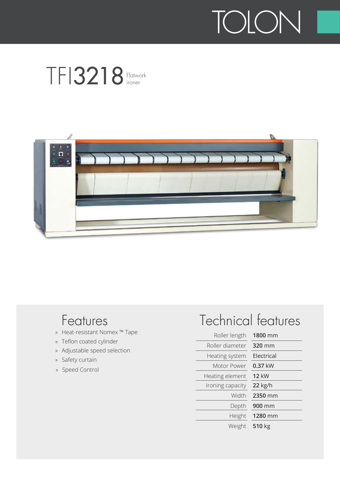



#### Features

- » Heat-resistant Nomex ™ Tape
- » Teflon coated cylinder
- » Adjustable speed selection
- » Safety curtain
- » Speed Control

| Roller length    | 1800 mm      |
|------------------|--------------|
| Roller diameter  | 320 mm       |
| Heating system   | Flectrical   |
| Motor Power      | 0.37 kW      |
| Heating element  | <b>12 kW</b> |
| Ironing capacity | 22 kg/h      |
| Width            | 2350 mm      |
| Depth            | 900 mm       |
| Height           | 1280 mm      |
| Weight           | 510 kg       |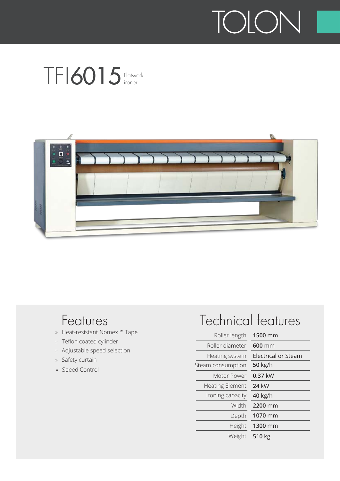



#### Features

- » Heat-resistant Nomex ™ Tape
- » Teflon coated cylinder
- » Adjustable speed selection
- » Safety curtain
- » Speed Control

| Roller length          | 1500 mm                    |
|------------------------|----------------------------|
| Roller diameter        | $600$ mm                   |
| Heating system         | <b>Electrical or Steam</b> |
| Steam consumption      | 50 kg/h                    |
| Motor Power            | 0.37 kW                    |
| <b>Heating Element</b> | 24 kW                      |
| Ironing capacity       | 40 kg/h                    |
| Width                  | 2200 mm                    |
| Depth                  | 1070 mm                    |
| Height                 | 1300 mm                    |
| Weight                 | 510 kg                     |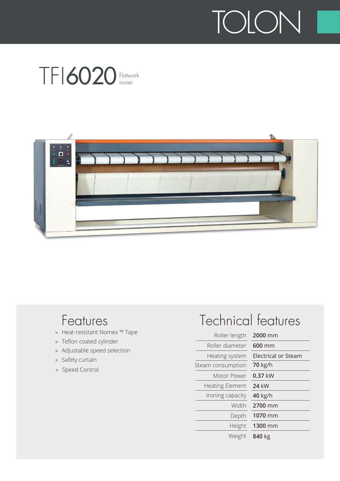



#### Features

- » Heat-resistant Nomex ™ Tape
- » Teflon coated cylinder
- » Adjustable speed selection
- » Safety curtain
- » Speed Control

| Roller length          | 2000 mm                    |
|------------------------|----------------------------|
| Roller diameter        | 600 mm                     |
| Heating system         | <b>Electrical or Steam</b> |
| Steam consumption      | <b>70 kg/h</b>             |
| Motor Power            | $0.37$ kW                  |
| <b>Heating Element</b> | 24 kW                      |
| Ironing capacity       | 40 kg/h                    |
| Width                  | 2700 mm                    |
| Depth                  | 1070 mm                    |
| Height                 | 1300 mm                    |
| Weight                 | 840 kg                     |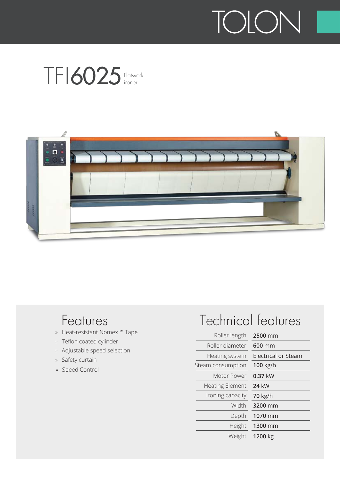



#### Features

- » Heat-resistant Nomex ™ Tape
- » Teflon coated cylinder
- » Adjustable speed selection
- » Safety curtain
- » Speed Control

| Roller length          | 2500 mm                    |
|------------------------|----------------------------|
| Roller diameter        | $600$ mm                   |
| Heating system         | <b>Electrical or Steam</b> |
| Steam consumption      | 100 kg/h                   |
| Motor Power            | 0.37 kW                    |
| <b>Heating Element</b> | 24 kW                      |
| Ironing capacity       | <b>70 kg/h</b>             |
| Width                  | 3200 mm                    |
| Depth                  | 1070 mm                    |
| Height                 | 1300 mm                    |
| Weight                 | 1200 kg                    |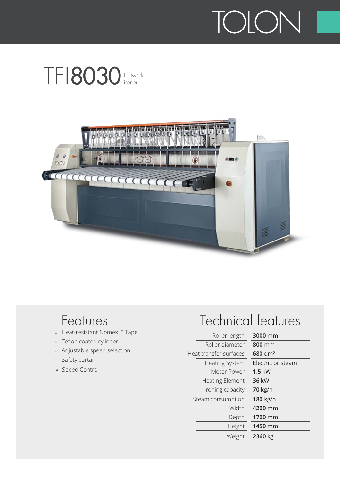



#### Features

- » Heat-resistant Nomex ™ Tape
- » Teflon coated cylinder
- » Adjustable speed selection
- » Safety curtain
- » Speed Control

| Roller length          | 3000 mm             |
|------------------------|---------------------|
| Roller diameter        | 800 mm              |
| Heat transfer surfaces | 680 dm <sup>2</sup> |
| <b>Heating System</b>  | Electric or steam   |
| Motor Power            | $1.5$ kW            |
| <b>Heating Element</b> | 36 kW               |
| Ironing capacity       | <b>70 kg/h</b>      |
| Steam consumption      | 180 kg/h            |
| Width                  | 4200 mm             |
| Depth                  | 1700 mm             |
| Height                 | 1450 mm             |
| Weight                 | 2360 kg             |